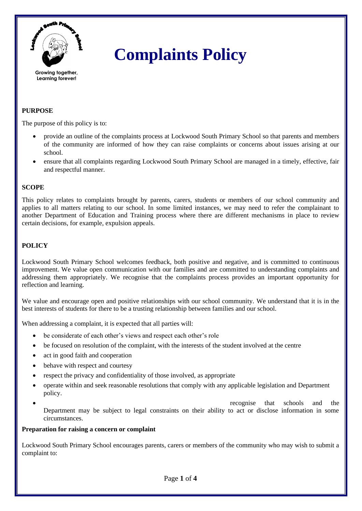

# **Complaints Policy**

# **PURPOSE**

The purpose of this policy is to:

- provide an outline of the complaints process at Lockwood South Primary School so that parents and members of the community are informed of how they can raise complaints or concerns about issues arising at our school.
- ensure that all complaints regarding Lockwood South Primary School are managed in a timely, effective, fair and respectful manner.

## **SCOPE**

This policy relates to complaints brought by parents, carers, students or members of our school community and applies to all matters relating to our school. In some limited instances, we may need to refer the complainant to another Department of Education and Training process where there are different mechanisms in place to review certain decisions, for example, expulsion appeals.

## **POLICY**

Lockwood South Primary School welcomes feedback, both positive and negative, and is committed to continuous improvement. We value open communication with our families and are committed to understanding complaints and addressing them appropriately. We recognise that the complaints process provides an important opportunity for reflection and learning.

We value and encourage open and positive relationships with our school community. We understand that it is in the best interests of students for there to be a trusting relationship between families and our school.

When addressing a complaint, it is expected that all parties will:

- be considerate of each other's views and respect each other's role
- be focused on resolution of the complaint, with the interests of the student involved at the centre
- act in good faith and cooperation
- behave with respect and courtesy
- respect the privacy and confidentiality of those involved, as appropriate
- operate within and seek reasonable resolutions that comply with any applicable legislation and Department policy.
- *recognise* that schools and the Department may be subject to legal constraints on their ability to act or disclose information in some circumstances.

#### **Preparation for raising a concern or complaint**

Lockwood South Primary School encourages parents, carers or members of the community who may wish to submit a complaint to: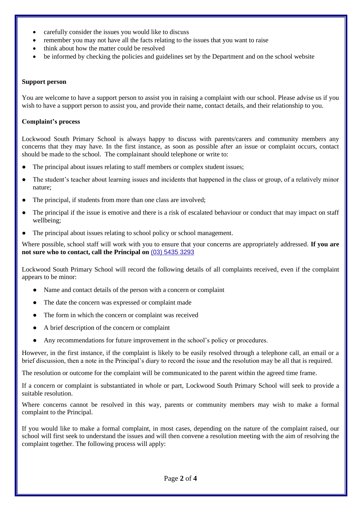- carefully consider the issues you would like to discuss
- remember you may not have all the facts relating to the issues that you want to raise
- think about how the matter could be resolved
- be informed by checking the policies and guidelines set by the Department and on the school website

#### **Support person**

You are welcome to have a support person to assist you in raising a complaint with our school. Please advise us if you wish to have a support person to assist you, and provide their name, contact details, and their relationship to you.

#### **Complaint's process**

Lockwood South Primary School is always happy to discuss with parents/carers and community members any concerns that they may have. In the first instance, as soon as possible after an issue or complaint occurs, contact should be made to the school. The complainant should telephone or write to:

- The principal about issues relating to staff members or complex student issues;
- The student's teacher about learning issues and incidents that happened in the class or group, of a relatively minor nature;
- The principal, if students from more than one class are involved;
- The principal if the issue is emotive and there is a risk of escalated behaviour or conduct that may impact on staff wellbeing;
- The principal about issues relating to school policy or school management.

Where possible, school staff will work with you to ensure that your concerns are appropriately addressed. **If you are not sure who to contact, call the Principal on** [\(03\) 5435 3293](https://www.google.com/search?q=lockwood+south+primary+school&rlz=1C1GCEA_enAU945AU946&oq=lockwood+south+primary+school&aqs=chrome..69i57j46i175i199i512j69i61.7458j0j15&sourceid=chrome&ie=UTF-8)

Lockwood South Primary School will record the following details of all complaints received, even if the complaint appears to be minor:

- Name and contact details of the person with a concern or complaint
- The date the concern was expressed or complaint made
- The form in which the concern or complaint was received
- A brief description of the concern or complaint
- Any recommendations for future improvement in the school's policy or procedures.

However, in the first instance, if the complaint is likely to be easily resolved through a telephone call, an email or a brief discussion, then a note in the Principal's diary to record the issue and the resolution may be all that is required.

The resolution or outcome for the complaint will be communicated to the parent within the agreed time frame.

If a concern or complaint is substantiated in whole or part, Lockwood South Primary School will seek to provide a suitable resolution.

Where concerns cannot be resolved in this way, parents or community members may wish to make a formal complaint to the Principal.

If you would like to make a formal complaint, in most cases, depending on the nature of the complaint raised, our school will first seek to understand the issues and will then convene a resolution meeting with the aim of resolving the complaint together. The following process will apply: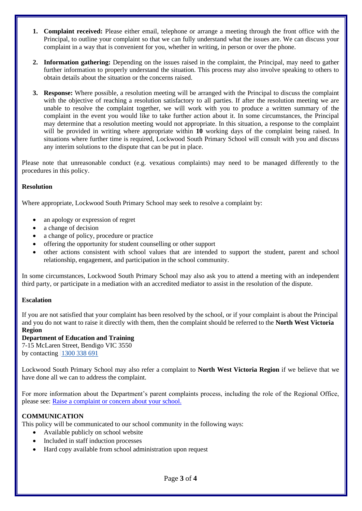- **1. Complaint received:** Please either email, telephone or arrange a meeting through the front office with the Principal, to outline your complaint so that we can fully understand what the issues are. We can discuss your complaint in a way that is convenient for you, whether in writing, in person or over the phone.
- **2. Information gathering:** Depending on the issues raised in the complaint, the Principal, may need to gather further information to properly understand the situation. This process may also involve speaking to others to obtain details about the situation or the concerns raised.
- **3. Response:** Where possible, a resolution meeting will be arranged with the Principal to discuss the complaint with the objective of reaching a resolution satisfactory to all parties. If after the resolution meeting we are unable to resolve the complaint together, we will work with you to produce a written summary of the complaint in the event you would like to take further action about it. In some circumstances, the Principal may determine that a resolution meeting would not appropriate. In this situation, a response to the complaint will be provided in writing where appropriate within **10** working days of the complaint being raised. In situations where further time is required, Lockwood South Primary School will consult with you and discuss any interim solutions to the dispute that can be put in place.

Please note that unreasonable conduct (e.g. vexatious complaints) may need to be managed differently to the procedures in this policy.

## **Resolution**

Where appropriate, Lockwood South Primary School may seek to resolve a complaint by:

- an apology or expression of regret
- a change of decision
- a change of policy, procedure or practice
- offering the opportunity for student counselling or other support
- other actions consistent with school values that are intended to support the student, parent and school relationship, engagement, and participation in the school community.

In some circumstances, Lockwood South Primary School may also ask you to attend a meeting with an independent third party, or participate in a mediation with an accredited mediator to assist in the resolution of the dispute.

#### **Escalation**

If you are not satisfied that your complaint has been resolved by the school, or if your complaint is about the Principal and you do not want to raise it directly with them, then the complaint should be referred to the **North West Victoria Region** 

#### **Department of Education and Training**

7-15 McLaren Street, Bendigo VIC 3550 by contacting [1300 338 691](tel:1300338691)

Lockwood South Primary School may also refer a complaint to **North West Victoria Region** if we believe that we have done all we can to address the complaint.

For more information about the Department's parent complaints process, including the role of the Regional Office, please see: [Raise a complaint or concern about your school.](https://www.vic.gov.au/raise-complaint-or-concern-about-your-school#speaking-to-your-school)

## **COMMUNICATION**

This policy will be communicated to our school community in the following ways:

- Available publicly on school website
- Included in staff induction processes
- Hard copy available from school administration upon request